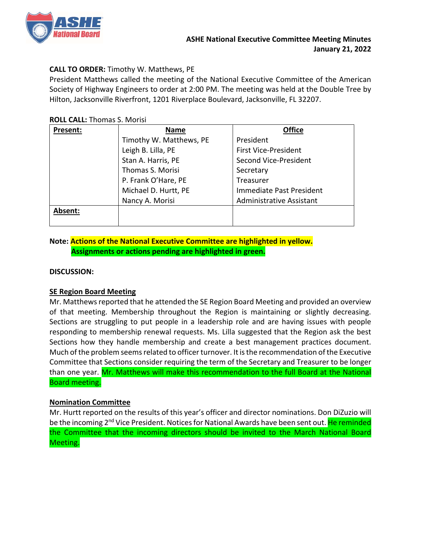

# **CALL TO ORDER:** Timothy W. Matthews, PE

President Matthews called the meeting of the National Executive Committee of the American Society of Highway Engineers to order at 2:00 PM. The meeting was held at the Double Tree by Hilton, Jacksonville Riverfront, 1201 Riverplace Boulevard, Jacksonville, FL 32207.

#### **ROLL CALL:** Thomas S. Morisi

| Present: | <b>Name</b>             | <b>Office</b>                   |
|----------|-------------------------|---------------------------------|
|          | Timothy W. Matthews, PE | President                       |
|          | Leigh B. Lilla, PE      | <b>First Vice-President</b>     |
|          | Stan A. Harris, PE      | Second Vice-President           |
|          | Thomas S. Morisi        | Secretary                       |
|          | P. Frank O'Hare, PE     | <b>Treasurer</b>                |
|          | Michael D. Hurtt, PE    | Immediate Past President        |
|          | Nancy A. Morisi         | <b>Administrative Assistant</b> |
| Absent:  |                         |                                 |
|          |                         |                                 |

# **Note: Actions of the National Executive Committee are highlighted in yellow. Assignments or actions pending are highlighted in green.**

### **DISCUSSION:**

# **SE Region Board Meeting**

Mr. Matthews reported that he attended the SE Region Board Meeting and provided an overview of that meeting. Membership throughout the Region is maintaining or slightly decreasing. Sections are struggling to put people in a leadership role and are having issues with people responding to membership renewal requests. Ms. Lilla suggested that the Region ask the best Sections how they handle membership and create a best management practices document. Much of the problem seems related to officer turnover. It is the recommendation of the Executive Committee that Sections consider requiring the term of the Secretary and Treasurer to be longer than one year. Mr. Matthews will make this recommendation to the full Board at the National Board meeting.

# **Nomination Committee**

Mr. Hurtt reported on the results of this year's officer and director nominations. Don DiZuzio will be the incoming 2<sup>nd</sup> Vice President. Notices for National Awards have been sent out. He reminded the Committee that the incoming directors should be invited to the March National Board Meeting.